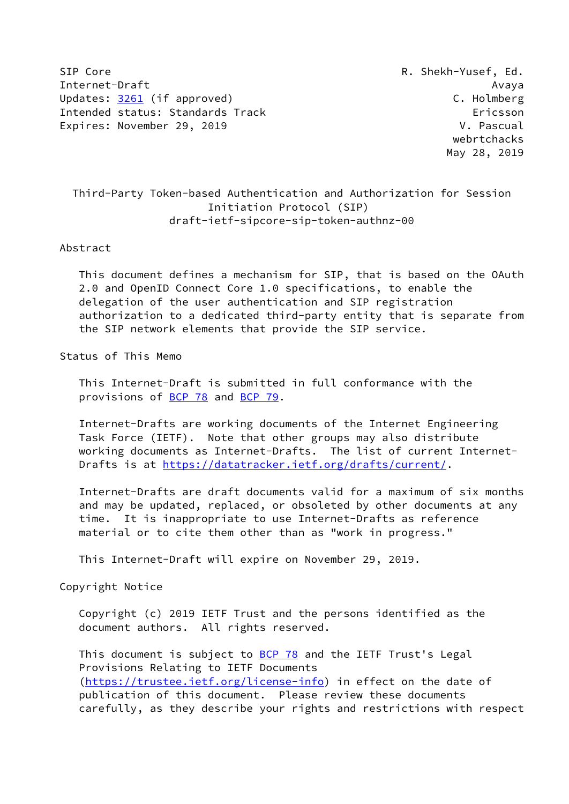SIP Core R. Shekh-Yusef, Ed. Internet-Draft Avaya Updates: [3261](https://datatracker.ietf.org/doc/pdf/rfc3261) (if approved) C. Holmberg Intended status: Standards Track Ericsson Expires: November 29, 2019 V. Pascual

 webrtchacks May 28, 2019

# Third-Party Token-based Authentication and Authorization for Session Initiation Protocol (SIP) draft-ietf-sipcore-sip-token-authnz-00

## Abstract

 This document defines a mechanism for SIP, that is based on the OAuth 2.0 and OpenID Connect Core 1.0 specifications, to enable the delegation of the user authentication and SIP registration authorization to a dedicated third-party entity that is separate from the SIP network elements that provide the SIP service.

## Status of This Memo

 This Internet-Draft is submitted in full conformance with the provisions of [BCP 78](https://datatracker.ietf.org/doc/pdf/bcp78) and [BCP 79](https://datatracker.ietf.org/doc/pdf/bcp79).

 Internet-Drafts are working documents of the Internet Engineering Task Force (IETF). Note that other groups may also distribute working documents as Internet-Drafts. The list of current Internet- Drafts is at<https://datatracker.ietf.org/drafts/current/>.

 Internet-Drafts are draft documents valid for a maximum of six months and may be updated, replaced, or obsoleted by other documents at any time. It is inappropriate to use Internet-Drafts as reference material or to cite them other than as "work in progress."

This Internet-Draft will expire on November 29, 2019.

#### Copyright Notice

 Copyright (c) 2019 IETF Trust and the persons identified as the document authors. All rights reserved.

This document is subject to **[BCP 78](https://datatracker.ietf.org/doc/pdf/bcp78)** and the IETF Trust's Legal Provisions Relating to IETF Documents [\(https://trustee.ietf.org/license-info](https://trustee.ietf.org/license-info)) in effect on the date of publication of this document. Please review these documents carefully, as they describe your rights and restrictions with respect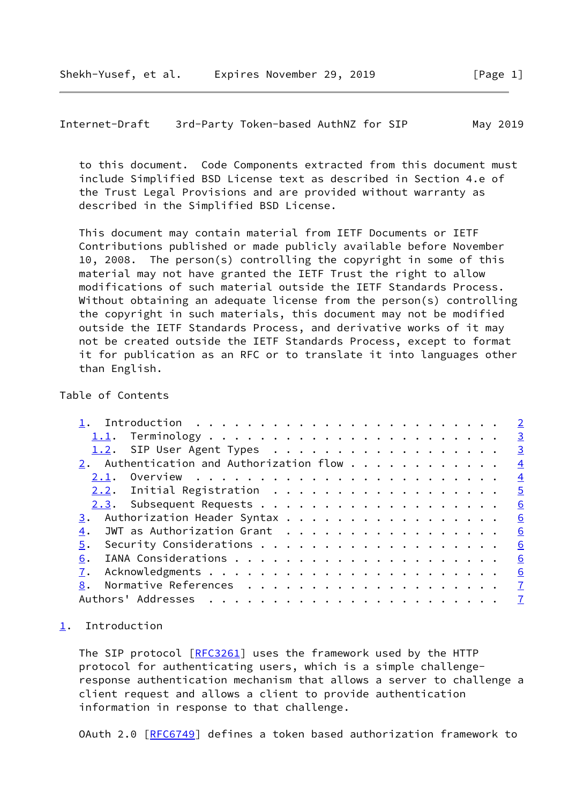<span id="page-1-1"></span>Internet-Draft 3rd-Party Token-based AuthNZ for SIP May 2019

 to this document. Code Components extracted from this document must include Simplified BSD License text as described in Section 4.e of the Trust Legal Provisions and are provided without warranty as described in the Simplified BSD License.

 This document may contain material from IETF Documents or IETF Contributions published or made publicly available before November 10, 2008. The person(s) controlling the copyright in some of this material may not have granted the IETF Trust the right to allow modifications of such material outside the IETF Standards Process. Without obtaining an adequate license from the person(s) controlling the copyright in such materials, this document may not be modified outside the IETF Standards Process, and derivative works of it may not be created outside the IETF Standards Process, except to format it for publication as an RFC or to translate it into languages other than English.

## Table of Contents

| 1.2. SIP User Agent Types        |  | $\overline{\mathbf{3}}$  |
|----------------------------------|--|--------------------------|
|                                  |  |                          |
|                                  |  |                          |
|                                  |  | $\overline{\phantom{0}}$ |
|                                  |  | 6                        |
|                                  |  | 6                        |
| JWT as Authorization Grant<br>4. |  | 6                        |
| 5.                               |  | 6                        |
| 6.                               |  |                          |
|                                  |  | 6                        |
| 8.                               |  |                          |
|                                  |  |                          |

## <span id="page-1-0"></span>[1](#page-1-0). Introduction

The SIP protocol [\[RFC3261](https://datatracker.ietf.org/doc/pdf/rfc3261)] uses the framework used by the HTTP protocol for authenticating users, which is a simple challenge response authentication mechanism that allows a server to challenge a client request and allows a client to provide authentication information in response to that challenge.

OAuth 2.0 [[RFC6749](https://datatracker.ietf.org/doc/pdf/rfc6749)] defines a token based authorization framework to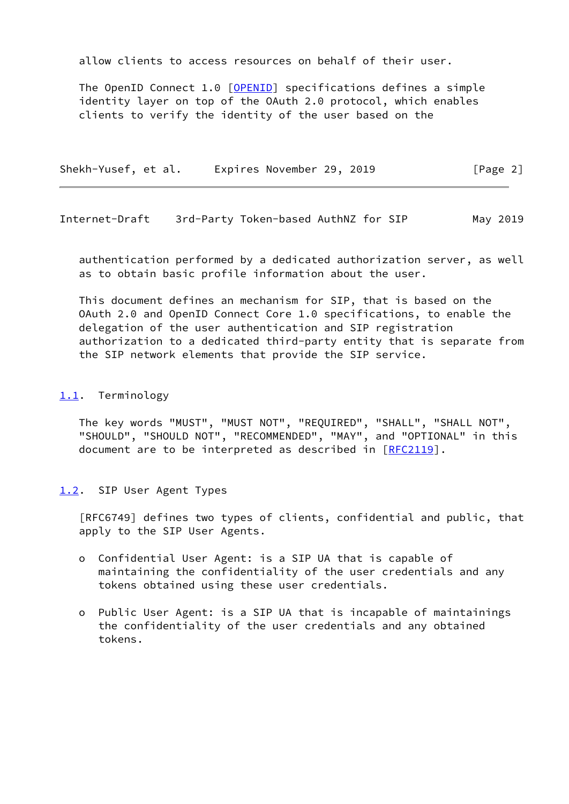allow clients to access resources on behalf of their user.

 The OpenID Connect 1.0 [\[OPENID](#page-6-6)] specifications defines a simple identity layer on top of the OAuth 2.0 protocol, which enables clients to verify the identity of the user based on the

Shekh-Yusef, et al. Expires November 29, 2019 [Page 2]

<span id="page-2-1"></span>Internet-Draft 3rd-Party Token-based AuthNZ for SIP May 2019

 authentication performed by a dedicated authorization server, as well as to obtain basic profile information about the user.

 This document defines an mechanism for SIP, that is based on the OAuth 2.0 and OpenID Connect Core 1.0 specifications, to enable the delegation of the user authentication and SIP registration authorization to a dedicated third-party entity that is separate from the SIP network elements that provide the SIP service.

#### <span id="page-2-0"></span>[1.1](#page-2-0). Terminology

 The key words "MUST", "MUST NOT", "REQUIRED", "SHALL", "SHALL NOT", "SHOULD", "SHOULD NOT", "RECOMMENDED", "MAY", and "OPTIONAL" in this document are to be interpreted as described in [\[RFC2119](https://datatracker.ietf.org/doc/pdf/rfc2119)].

#### <span id="page-2-2"></span>[1.2](#page-2-2). SIP User Agent Types

 [RFC6749] defines two types of clients, confidential and public, that apply to the SIP User Agents.

- o Confidential User Agent: is a SIP UA that is capable of maintaining the confidentiality of the user credentials and any tokens obtained using these user credentials.
- o Public User Agent: is a SIP UA that is incapable of maintainings the confidentiality of the user credentials and any obtained tokens.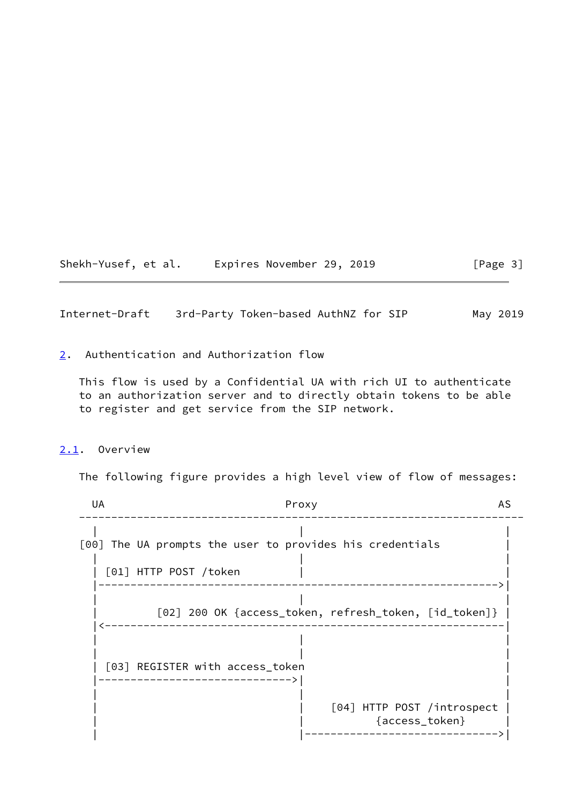Shekh-Yusef, et al. Expires November 29, 2019 [Page 3]

<span id="page-3-1"></span>Internet-Draft 3rd-Party Token-based AuthNZ for SIP May 2019

<span id="page-3-0"></span>[2](#page-3-0). Authentication and Authorization flow

 This flow is used by a Confidential UA with rich UI to authenticate to an authorization server and to directly obtain tokens to be able to register and get service from the SIP network.

## <span id="page-3-2"></span>[2.1](#page-3-2). Overview

The following figure provides a high level view of flow of messages:

UA Proxy AS --------------------------------------------------------------------- | | | [00] The UA prompts the user to provides his credentials | | | |  $|$   $[01]$  HTTP POST /token  $|$  |-------------------------------------------------------------->| | | | | [02] 200 OK {access\_token, refresh\_token, [id\_token]} | |<--------------------------------------------------------------| | | | | | | | [03] REGISTER with access\_token |------------------------------>| | | | | [04] HTTP POST /introspect | | | {access\_token} | | |------------------------------>|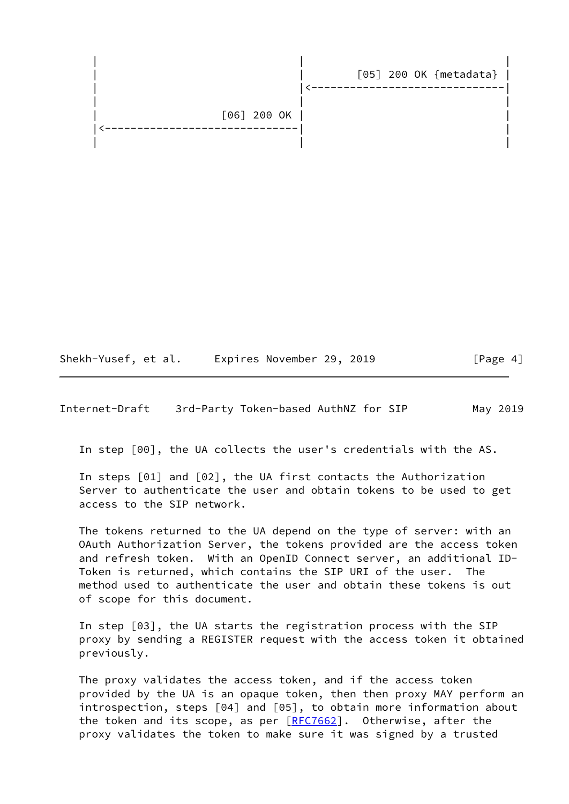| | | | | [05] 200 OK {metadata} | ----------------------- | | | | [06] 200 OK | | \_\_\_\_\_\_\_\_\_\_\_\_\_\_ | | |

Shekh-Yusef, et al. Expires November 29, 2019 [Page 4]

<span id="page-4-0"></span>Internet-Draft 3rd-Party Token-based AuthNZ for SIP May 2019

In step [00], the UA collects the user's credentials with the AS.

 In steps [01] and [02], the UA first contacts the Authorization Server to authenticate the user and obtain tokens to be used to get access to the SIP network.

 The tokens returned to the UA depend on the type of server: with an OAuth Authorization Server, the tokens provided are the access token and refresh token. With an OpenID Connect server, an additional ID- Token is returned, which contains the SIP URI of the user. The method used to authenticate the user and obtain these tokens is out of scope for this document.

 In step [03], the UA starts the registration process with the SIP proxy by sending a REGISTER request with the access token it obtained previously.

 The proxy validates the access token, and if the access token provided by the UA is an opaque token, then then proxy MAY perform an introspection, steps [04] and [05], to obtain more information about the token and its scope, as per [\[RFC7662](https://datatracker.ietf.org/doc/pdf/rfc7662)]. Otherwise, after the proxy validates the token to make sure it was signed by a trusted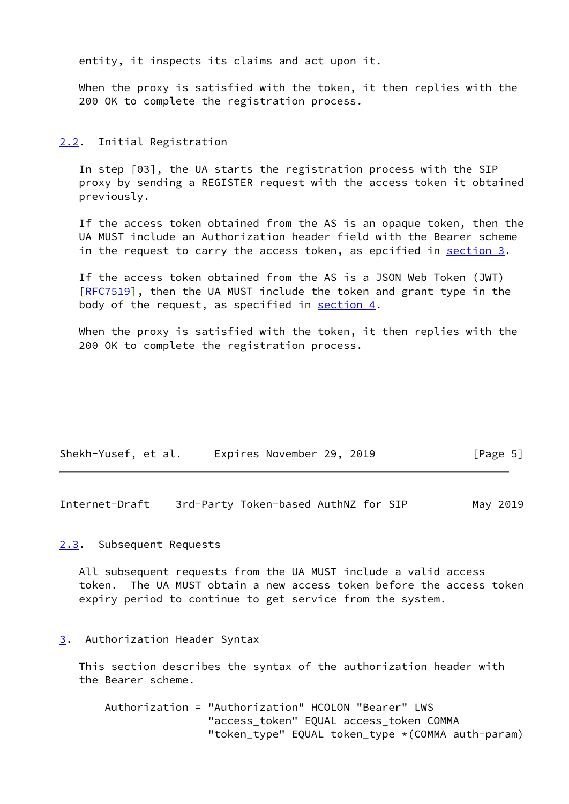entity, it inspects its claims and act upon it.

 When the proxy is satisfied with the token, it then replies with the 200 OK to complete the registration process.

#### <span id="page-5-0"></span>[2.2](#page-5-0). Initial Registration

 In step [03], the UA starts the registration process with the SIP proxy by sending a REGISTER request with the access token it obtained previously.

 If the access token obtained from the AS is an opaque token, then the UA MUST include an Authorization header field with the Bearer scheme in the request to carry the access token, as epcified in section  $3$ .

 If the access token obtained from the AS is a JSON Web Token (JWT) [\[RFC7519](https://datatracker.ietf.org/doc/pdf/rfc7519)], then the UA MUST include the token and grant type in the body of the request, as specified in [section 4](#page-6-0).

 When the proxy is satisfied with the token, it then replies with the 200 OK to complete the registration process.

| Shekh-Yusef, et al. | Expires November 29, 2019 | [Page 5] |
|---------------------|---------------------------|----------|
|---------------------|---------------------------|----------|

<span id="page-5-2"></span>Internet-Draft 3rd-Party Token-based AuthNZ for SIP May 2019

## <span id="page-5-1"></span>[2.3](#page-5-1). Subsequent Requests

 All subsequent requests from the UA MUST include a valid access token. The UA MUST obtain a new access token before the access token expiry period to continue to get service from the system.

<span id="page-5-3"></span>[3](#page-5-3). Authorization Header Syntax

 This section describes the syntax of the authorization header with the Bearer scheme.

 Authorization = "Authorization" HCOLON "Bearer" LWS "access\_token" EQUAL access\_token COMMA "token\_type" EQUAL token\_type \*(COMMA auth-param)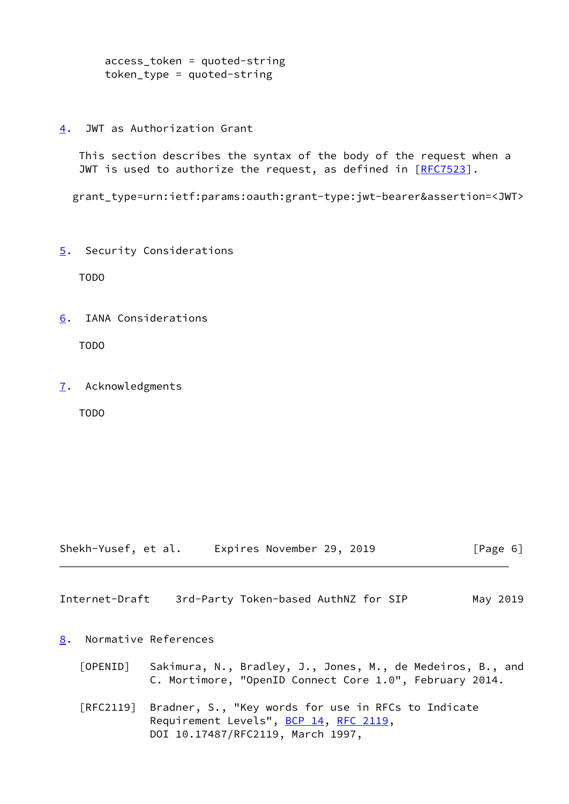```
 access_token = quoted-string
token_type = quoted-string
```
<span id="page-6-0"></span>[4](#page-6-0). JWT as Authorization Grant

 This section describes the syntax of the body of the request when a JWT is used to authorize the request, as defined in [\[RFC7523](https://datatracker.ietf.org/doc/pdf/rfc7523)].

grant\_type=urn:ietf:params:oauth:grant-type:jwt-bearer&assertion=<JWT>

<span id="page-6-1"></span>[5](#page-6-1). Security Considerations

TODO

<span id="page-6-2"></span>[6](#page-6-2). IANA Considerations

TODO

<span id="page-6-3"></span>[7](#page-6-3). Acknowledgments

TODO

| Shekh-Yusef, et al. | Expires November 29, 2019 |  | [Page 6] |
|---------------------|---------------------------|--|----------|
|---------------------|---------------------------|--|----------|

<span id="page-6-5"></span>Internet-Draft 3rd-Party Token-based AuthNZ for SIP May 2019

## <span id="page-6-4"></span>[8](#page-6-4). Normative References

- <span id="page-6-6"></span> [OPENID] Sakimura, N., Bradley, J., Jones, M., de Medeiros, B., and C. Mortimore, "OpenID Connect Core 1.0", February 2014.
- [RFC2119] Bradner, S., "Key words for use in RFCs to Indicate Requirement Levels", [BCP 14](https://datatracker.ietf.org/doc/pdf/bcp14), [RFC 2119](https://datatracker.ietf.org/doc/pdf/rfc2119), DOI 10.17487/RFC2119, March 1997,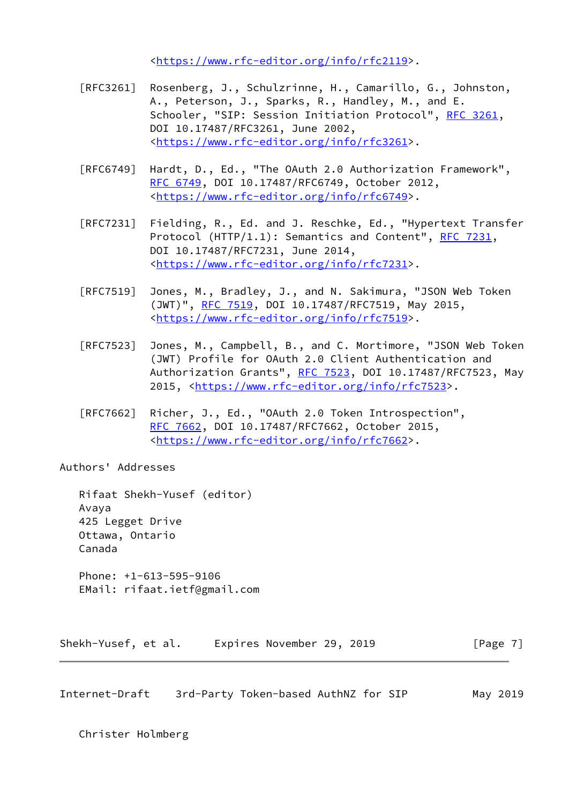<[https://www.rfc-editor.org/info/rfc2119>](https://www.rfc-editor.org/info/rfc2119).

- [RFC3261] Rosenberg, J., Schulzrinne, H., Camarillo, G., Johnston, A., Peterson, J., Sparks, R., Handley, M., and E. Schooler, "SIP: Session Initiation Protocol", [RFC 3261](https://datatracker.ietf.org/doc/pdf/rfc3261), DOI 10.17487/RFC3261, June 2002, <[https://www.rfc-editor.org/info/rfc3261>](https://www.rfc-editor.org/info/rfc3261).
- [RFC6749] Hardt, D., Ed., "The OAuth 2.0 Authorization Framework", [RFC 6749,](https://datatracker.ietf.org/doc/pdf/rfc6749) DOI 10.17487/RFC6749, October 2012, <[https://www.rfc-editor.org/info/rfc6749>](https://www.rfc-editor.org/info/rfc6749).
- [RFC7231] Fielding, R., Ed. and J. Reschke, Ed., "Hypertext Transfer Protocol (HTTP/1.1): Semantics and Content", [RFC 7231](https://datatracker.ietf.org/doc/pdf/rfc7231), DOI 10.17487/RFC7231, June 2014, <[https://www.rfc-editor.org/info/rfc7231>](https://www.rfc-editor.org/info/rfc7231).
- [RFC7519] Jones, M., Bradley, J., and N. Sakimura, "JSON Web Token (JWT)", [RFC 7519,](https://datatracker.ietf.org/doc/pdf/rfc7519) DOI 10.17487/RFC7519, May 2015, <[https://www.rfc-editor.org/info/rfc7519>](https://www.rfc-editor.org/info/rfc7519).
- [RFC7523] Jones, M., Campbell, B., and C. Mortimore, "JSON Web Token (JWT) Profile for OAuth 2.0 Client Authentication and Authorization Grants", [RFC 7523](https://datatracker.ietf.org/doc/pdf/rfc7523), DOI 10.17487/RFC7523, May 2015, [<https://www.rfc-editor.org/info/rfc7523](https://www.rfc-editor.org/info/rfc7523)>.
- [RFC7662] Richer, J., Ed., "OAuth 2.0 Token Introspection", [RFC 7662,](https://datatracker.ietf.org/doc/pdf/rfc7662) DOI 10.17487/RFC7662, October 2015, <[https://www.rfc-editor.org/info/rfc7662>](https://www.rfc-editor.org/info/rfc7662).

Authors' Addresses

 Rifaat Shekh-Yusef (editor) Avaya 425 Legget Drive Ottawa, Ontario Canada Phone: +1-613-595-9106

EMail: rifaat.ietf@gmail.com

Shekh-Yusef, et al. Expires November 29, 2019 [Page 7]

Internet-Draft 3rd-Party Token-based AuthNZ for SIP May 2019

Christer Holmberg